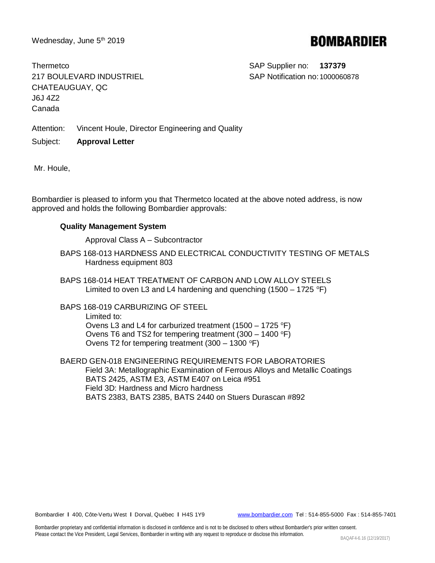Wednesday, June 5<sup>th</sup> 2019

## **BOMBARDIER**

Thermetco **SAP Supplier no: 137379** 217 BOULEVARD INDUSTRIEL SAP Notification no:1000060878 CHATEAUGUAY, QC J6J 4Z2 Canada

Attention: Vincent Houle, Director Engineering and Quality

Subject: **Approval Letter**

Mr. Houle,

Bombardier is pleased to inform you that Thermetco located at the above noted address, is now approved and holds the following Bombardier approvals:

## **Quality Management System**

Approval Class A – Subcontractor

- BAPS 168-013 HARDNESS AND ELECTRICAL CONDUCTIVITY TESTING OF METALS Hardness equipment 803
- BAPS 168-014 HEAT TREATMENT OF CARBON AND LOW ALLOY STEELS Limited to oven L3 and L4 hardening and quenching  $(1500 - 1725 \text{ °F})$
- BAPS 168-019 CARBURIZING OF STEEL Limited to: Ovens L3 and L4 for carburized treatment (1500 – 1725  $\textdegree$ F) Ovens T6 and TS2 for tempering treatment  $(300 - 1400 \degree F)$ Ovens T2 for tempering treatment  $(300 - 1300 \degree F)$
- BAERD GEN-018 ENGINEERING REQUIREMENTS FOR LABORATORIES Field 3A: Metallographic Examination of Ferrous Alloys and Metallic Coatings BATS 2425, ASTM E3, ASTM E407 on Leica #951 Field 3D: Hardness and Micro hardness BATS 2383, BATS 2385, BATS 2440 on Stuers Durascan #892